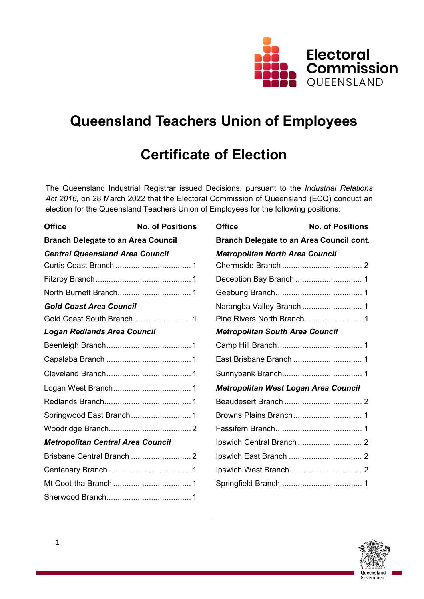

# **Queensland Teachers Union of Employees**

# **Certificate of Election**

The Queensland Industrial Registrar issued Decisions, pursuant to the *Industrial Relations Act 2016,* on 28 March 2022 that the Electoral Commission of Queensland (ECQ) conduct an election for the Queensland Teachers Union of Employees for the following positions:

| <b>Office</b>                             | <b>No. of Positions</b> | <b>Office</b>                          | <b>No. of Positions</b>                         |
|-------------------------------------------|-------------------------|----------------------------------------|-------------------------------------------------|
| <b>Branch Delegate to an Area Council</b> |                         |                                        | <b>Branch Delegate to an Area Council cont.</b> |
| <b>Central Queensland Area Council</b>    |                         | <b>Metropolitan North Area Council</b> |                                                 |
|                                           |                         |                                        |                                                 |
|                                           |                         |                                        |                                                 |
|                                           |                         |                                        |                                                 |
| <b>Gold Coast Area Council</b>            |                         |                                        | Narangba Valley Branch  1                       |
|                                           |                         |                                        | Pine Rivers North Branch1                       |
| <b>Logan Redlands Area Council</b>        |                         | <b>Metropolitan South Area Council</b> |                                                 |
|                                           |                         |                                        |                                                 |
|                                           |                         |                                        |                                                 |
|                                           |                         |                                        |                                                 |
|                                           |                         |                                        | Metropolitan West Logan Area Council            |
|                                           |                         |                                        |                                                 |
|                                           |                         |                                        |                                                 |
|                                           |                         |                                        |                                                 |
| <b>Metropolitan Central Area Council</b>  |                         |                                        |                                                 |
|                                           |                         |                                        |                                                 |
|                                           |                         |                                        |                                                 |
|                                           |                         |                                        |                                                 |
|                                           |                         |                                        |                                                 |

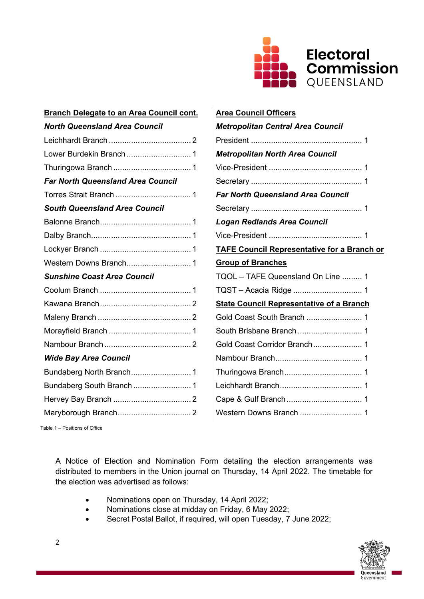

| <b>Branch Delegate to an Area Council cont.</b> | <b>Area Council Officers</b>                    |
|-------------------------------------------------|-------------------------------------------------|
| <b>North Queensland Area Council</b>            | <b>Metropolitan Central Area Council</b>        |
|                                                 |                                                 |
|                                                 | <b>Metropolitan North Area Council</b>          |
|                                                 |                                                 |
| <b>Far North Queensland Area Council</b>        |                                                 |
|                                                 | <b>Far North Queensland Area Council</b>        |
| <b>South Queensland Area Council</b>            |                                                 |
|                                                 | <b>Logan Redlands Area Council</b>              |
|                                                 |                                                 |
|                                                 | <b>TAFE Council Representative for a Branc</b>  |
|                                                 | <b>Group of Branches</b>                        |
| <b>Sunshine Coast Area Council</b>              | TQOL - TAFE Queensland On Line  1               |
|                                                 |                                                 |
|                                                 | <b>State Council Representative of a Branch</b> |
|                                                 |                                                 |
|                                                 |                                                 |
|                                                 |                                                 |
| <b>Wide Bay Area Council</b>                    |                                                 |
|                                                 |                                                 |
|                                                 |                                                 |
|                                                 |                                                 |
|                                                 |                                                 |

| <b>Branch Delegate to an Area Council cont.</b> | <b>Area Council Officers</b>                       |  |
|-------------------------------------------------|----------------------------------------------------|--|
| <b>North Queensland Area Council</b>            | <b>Metropolitan Central Area Council</b>           |  |
|                                                 |                                                    |  |
|                                                 | <b>Metropolitan North Area Council</b>             |  |
|                                                 |                                                    |  |
| <b>Far North Queensland Area Council</b>        |                                                    |  |
|                                                 | <b>Far North Queensland Area Council</b>           |  |
| <b>South Queensland Area Council</b>            |                                                    |  |
|                                                 | <b>Logan Redlands Area Council</b>                 |  |
|                                                 |                                                    |  |
|                                                 | <b>TAFE Council Representative for a Branch or</b> |  |
|                                                 | <b>Group of Branches</b>                           |  |
| <b>Sunshine Coast Area Council</b>              | TQOL - TAFE Queensland On Line  1                  |  |
|                                                 |                                                    |  |
|                                                 | <b>State Council Representative of a Branch</b>    |  |
|                                                 |                                                    |  |
|                                                 |                                                    |  |
|                                                 |                                                    |  |
| <b>Wide Bay Area Council</b>                    |                                                    |  |
|                                                 |                                                    |  |
| Bundaberg South Branch  1                       |                                                    |  |
|                                                 |                                                    |  |
|                                                 |                                                    |  |
|                                                 |                                                    |  |

Table 1 – Positions of Office

A Notice of Election and Nomination Form detailing the election arrangements was distributed to members in the Union journal on Thursday, 14 April 2022. The timetable for the election was advertised as follows:

- Nominations open on Thursday, 14 April 2022;
- Nominations close at midday on Friday, 6 May 2022;
- Secret Postal Ballot, if required, will open Tuesday, 7 June 2022;

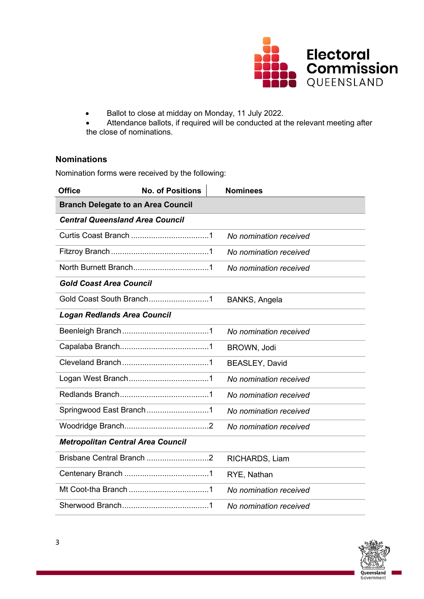

- Ballot to close at midday on Monday, 11 July 2022.
- Attendance ballots, if required will be conducted at the relevant meeting after the close of nominations.

### **Nominations**

Nomination forms were received by the following:

| <b>Office</b>                             | <b>No. of Positions</b>                      |  | <b>Nominees</b>        |
|-------------------------------------------|----------------------------------------------|--|------------------------|
| <b>Branch Delegate to an Area Council</b> |                                              |  |                        |
| <b>Central Queensland Area Council</b>    |                                              |  |                        |
|                                           | the control of the control of the control of |  | No nomination received |
|                                           |                                              |  | No nomination received |
|                                           |                                              |  | No nomination received |
| <b>Gold Coast Area Council</b>            |                                              |  |                        |
| Gold Coast South Branch1                  |                                              |  | BANKS, Angela          |
| <b>Logan Redlands Area Council</b>        |                                              |  |                        |
|                                           | <u> 1989 - Johann Barn, mars ann an t-A</u>  |  | No nomination received |
|                                           |                                              |  | BROWN, Jodi            |
|                                           |                                              |  | <b>BEASLEY, David</b>  |
|                                           |                                              |  | No nomination received |
|                                           |                                              |  | No nomination received |
| Springwood East Branch1                   |                                              |  | No nomination received |
|                                           |                                              |  | No nomination received |
| <b>Metropolitan Central Area Council</b>  |                                              |  |                        |
| Brisbane Central Branch 2                 |                                              |  | RICHARDS, Liam         |
|                                           |                                              |  | RYE, Nathan            |
|                                           | <u> 1980 - Johann Barbara, martxa a</u>      |  | No nomination received |
|                                           |                                              |  | No nomination received |

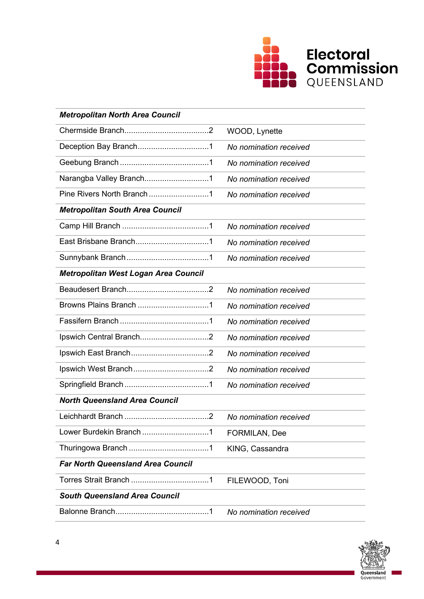

| <b>Metropolitan North Area Council</b>   |                        |
|------------------------------------------|------------------------|
|                                          | WOOD, Lynette          |
| Deception Bay Branch1                    | No nomination received |
|                                          | No nomination received |
| Narangba Valley Branch1                  | No nomination received |
|                                          | No nomination received |
| <b>Metropolitan South Area Council</b>   |                        |
|                                          | No nomination received |
|                                          | No nomination received |
|                                          | No nomination received |
| Metropolitan West Logan Area Council     |                        |
|                                          | No nomination received |
|                                          | No nomination received |
|                                          | No nomination received |
|                                          | No nomination received |
|                                          | No nomination received |
|                                          | No nomination received |
|                                          | No nomination received |
| <b>North Queensland Area Council</b>     |                        |
|                                          | No nomination received |
| Lower Burdekin Branch 1                  | FORMILAN, Dee          |
|                                          | KING, Cassandra        |
| <b>Far North Queensland Area Council</b> |                        |
|                                          | FILEWOOD, Toni         |
| <b>South Queensland Area Council</b>     |                        |
|                                          | No nomination received |

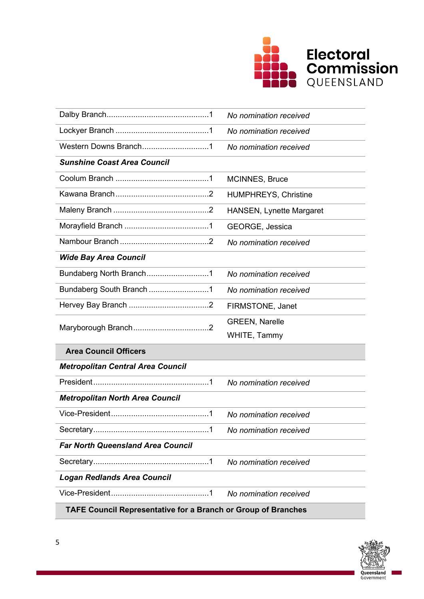

|                                                                      | No nomination received          |  |
|----------------------------------------------------------------------|---------------------------------|--|
|                                                                      | No nomination received          |  |
| Western Downs Branch1                                                | No nomination received          |  |
| <b>Sunshine Coast Area Council</b>                                   |                                 |  |
|                                                                      | MCINNES, Bruce                  |  |
|                                                                      | <b>HUMPHREYS, Christine</b>     |  |
|                                                                      | <b>HANSEN, Lynette Margaret</b> |  |
|                                                                      | GEORGE, Jessica                 |  |
|                                                                      | No nomination received          |  |
| <b>Wide Bay Area Council</b>                                         |                                 |  |
| Bundaberg North Branch1                                              | No nomination received          |  |
| Bundaberg South Branch 1                                             | No nomination received          |  |
|                                                                      | FIRMSTONE, Janet                |  |
|                                                                      | <b>GREEN, Narelle</b>           |  |
|                                                                      | WHITE, Tammy                    |  |
| <b>Area Council Officers</b>                                         |                                 |  |
| <b>Metropolitan Central Area Council</b>                             |                                 |  |
|                                                                      | No nomination received          |  |
| <b>Metropolitan North Area Council</b>                               |                                 |  |
|                                                                      | No nomination received          |  |
|                                                                      | No nomination received          |  |
| <b>Far North Queensland Area Council</b>                             |                                 |  |
|                                                                      | No nomination received          |  |
| <b>Logan Redlands Area Council</b>                                   |                                 |  |
|                                                                      | No nomination received          |  |
| <b>TAFE Council Representative for a Branch or Group of Branches</b> |                                 |  |

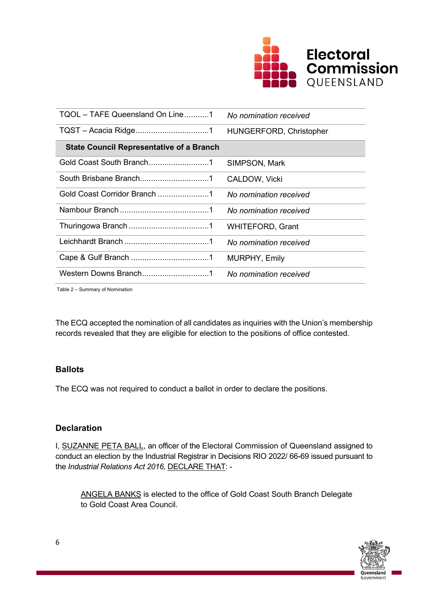

| TQOL - TAFE Queensland On Line1                 | No nomination received  |
|-------------------------------------------------|-------------------------|
|                                                 | HUNGERFORD, Christopher |
| <b>State Council Representative of a Branch</b> |                         |
| Gold Coast South Branch1                        | SIMPSON, Mark           |
|                                                 | CALDOW, Vicki           |
| Gold Coast Corridor Branch 1                    | No nomination received  |
|                                                 | No nomination received  |
|                                                 | <b>WHITEFORD, Grant</b> |
|                                                 | No nomination received  |
|                                                 | <b>MURPHY, Emily</b>    |
|                                                 | No nomination received  |

Table 2 – Summary of Nomination

The ECQ accepted the nomination of all candidates as inquiries with the Union's membership records revealed that they are eligible for election to the positions of office contested.

### **Ballots**

The ECQ was not required to conduct a ballot in order to declare the positions.

## **Declaration**

I, SUZANNE PETA BALL, an officer of the Electoral Commission of Queensland assigned to conduct an election by the Industrial Registrar in Decisions RIO 2022/ 66-69 issued pursuant to the *Industrial Relations Act 2016*, DECLARE THAT: -

ANGELA BANKS is elected to the office of Gold Coast South Branch Delegate to Gold Coast Area Council.

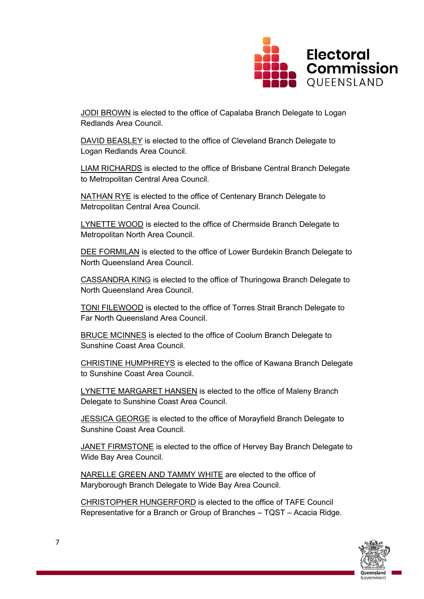

JODI BROWN is elected to the office of Capalaba Branch Delegate to Logan Redlands Area Council.

DAVID BEASLEY is elected to the office of Cleveland Branch Delegate to Logan Redlands Area Council.

LIAM RICHARDS is elected to the office of Brisbane Central Branch Delegate to Metropolitan Central Area Council.

NATHAN RYE is elected to the office of Centenary Branch Delegate to Metropolitan Central Area Council.

LYNETTE WOOD is elected to the office of Chermside Branch Delegate to Metropolitan North Area Council.

DEE FORMILAN is elected to the office of Lower Burdekin Branch Delegate to North Queensland Area Council.

CASSANDRA KING is elected to the office of Thuringowa Branch Delegate to North Queensland Area Council.

TONI FILEWOOD is elected to the office of Torres Strait Branch Delegate to Far North Queensland Area Council.

BRUCE MCINNES is elected to the office of Coolum Branch Delegate to Sunshine Coast Area Council.

CHRISTINE HUMPHREYS is elected to the office of Kawana Branch Delegate to Sunshine Coast Area Council.

LYNETTE MARGARET HANSEN is elected to the office of Maleny Branch Delegate to Sunshine Coast Area Council.

JESSICA GEORGE is elected to the office of Morayfield Branch Delegate to Sunshine Coast Area Council.

JANET FIRMSTONE is elected to the office of Hervey Bay Branch Delegate to Wide Bay Area Council.

NARELLE GREEN AND TAMMY WHITE are elected to the office of Maryborough Branch Delegate to Wide Bay Area Council.

CHRISTOPHER HUNGERFORD is elected to the office of TAFE Council Representative for a Branch or Group of Branches – TQST – Acacia Ridge.